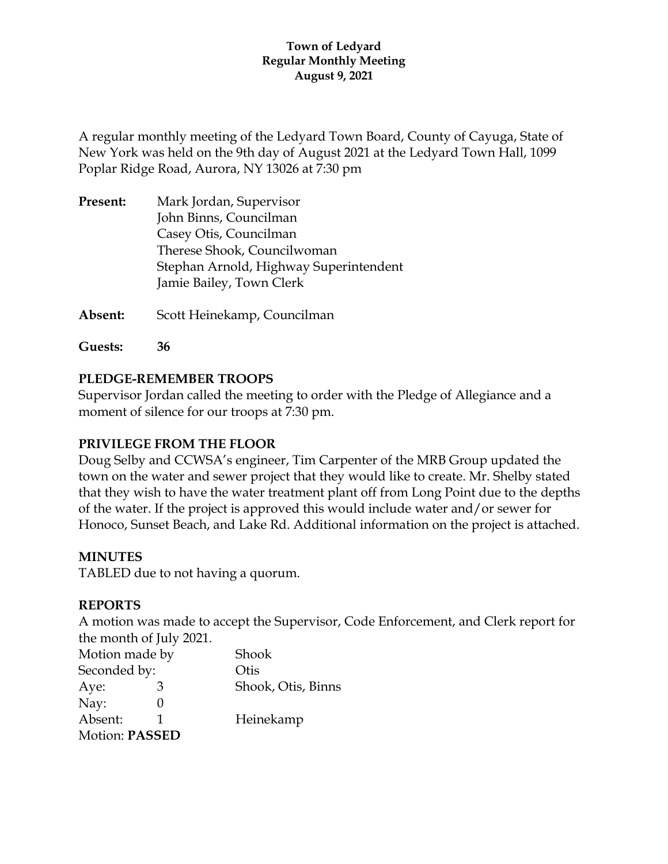#### **Town of Ledyard Regular Monthly Meeting August 9, 2021**

A regular monthly meeting of the Ledyard Town Board, County of Cayuga, State of New York was held on the 9th day of August 2021 at the Ledyard Town Hall, 1099 Poplar Ridge Road, Aurora, NY 13026 at 7:30 pm

| Present: | Mark Jordan, Supervisor                |
|----------|----------------------------------------|
|          | John Binns, Councilman                 |
|          | Casey Otis, Councilman                 |
|          | Therese Shook, Councilwoman            |
|          | Stephan Arnold, Highway Superintendent |
|          | Jamie Bailey, Town Clerk               |
|          |                                        |

**Absent:** Scott Heinekamp, Councilman

**Guests: 36**

### **PLEDGE-REMEMBER TROOPS**

Supervisor Jordan called the meeting to order with the Pledge of Allegiance and a moment of silence for our troops at 7:30 pm.

### **PRIVILEGE FROM THE FLOOR**

Doug Selby and CCWSA's engineer, Tim Carpenter of the MRB Group updated the town on the water and sewer project that they would like to create. Mr. Shelby stated that they wish to have the water treatment plant off from Long Point due to the depths of the water. If the project is approved this would include water and/or sewer for Honoco, Sunset Beach, and Lake Rd. Additional information on the project is attached.

#### **MINUTES**

TABLED due to not having a quorum.

#### **REPORTS**

A motion was made to accept the Supervisor, Code Enforcement, and Clerk report for the month of July 2021.

| Motion made by |  | Shook              |
|----------------|--|--------------------|
| Seconded by:   |  | Otis               |
| Aye:           |  | Shook, Otis, Binns |
| Nay:           |  |                    |
| Absent:        |  | Heinekamp          |
| Motion: PASSED |  |                    |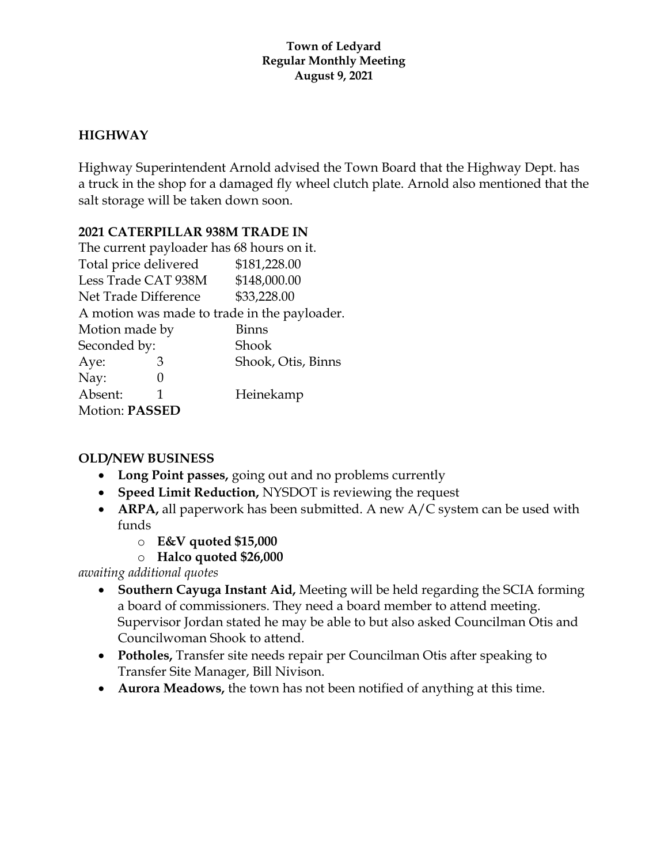#### **Town of Ledyard Regular Monthly Meeting August 9, 2021**

# **HIGHWAY**

Highway Superintendent Arnold advised the Town Board that the Highway Dept. has a truck in the shop for a damaged fly wheel clutch plate. Arnold also mentioned that the salt storage will be taken down soon.

### **2021 CATERPILLAR 938M TRADE IN**

| The current payloader has 68 hours on it.    |   |                    |
|----------------------------------------------|---|--------------------|
| Total price delivered                        |   | \$181,228.00       |
| Less Trade CAT 938M                          |   | \$148,000.00       |
| Net Trade Difference                         |   | \$33,228.00        |
| A motion was made to trade in the payloader. |   |                    |
| Motion made by                               |   | Binns              |
| Seconded by:                                 |   | Shook              |
| Aye:                                         | З | Shook, Otis, Binns |
| Nay:                                         |   |                    |
| Absent:                                      | 1 | Heinekamp          |
| <b>Motion: PASSED</b>                        |   |                    |

### **OLD/NEW BUSINESS**

- **Long Point passes,** going out and no problems currently
- **Speed Limit Reduction,** NYSDOT is reviewing the request
- **ARPA**, all paperwork has been submitted. A new A/C system can be used with funds
	- o **E&V quoted \$15,000**
	- o **Halco quoted \$26,000**

*awaiting additional quotes*

- **Southern Cayuga Instant Aid,** Meeting will be held regarding the SCIA forming a board of commissioners. They need a board member to attend meeting. Supervisor Jordan stated he may be able to but also asked Councilman Otis and Councilwoman Shook to attend.
- **Potholes,** Transfer site needs repair per Councilman Otis after speaking to Transfer Site Manager, Bill Nivison.
- **Aurora Meadows,** the town has not been notified of anything at this time.